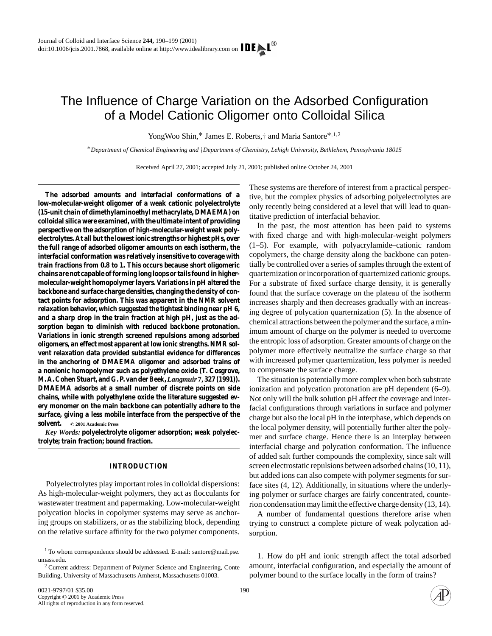# The Influence of Charge Variation on the Adsorbed Configuration of a Model Cationic Oligomer onto Colloidal Silica

YongWoo Shin,<sup>\*</sup> James E. Roberts,† and Maria Santore<sup>\*,1,2</sup>

∗*Department of Chemical Engineering and* †*Department of Chemistry, Lehigh University, Bethlehem, Pennsylvania 18015*

Received April 27, 2001; accepted July 21, 2001; published online October 24, 2001

**The adsorbed amounts and interfacial conformations of a low-molecular-weight oligomer of a weak cationic polyelectrolyte (15-unit chain of dimethylaminoethyl methacrylate, DMAEMA) on colloidal silica were examined, with the ultimate intent of providing perspective on the adsorption of high-molecular-weight weak polyelectrolytes. At all but the lowest ionic strengths or highest pHs, over the full range of adsorbed oligomer amounts on each isotherm, the interfacial conformation was relatively insensitive to coverage with train fractions from 0.8 to 1. This occurs because short oligomeric chains are not capable of forming long loops or tails found in highermolecular-weight homopolymer layers. Variations in pH altered the backbone and surface charge densities, changing the density of contact points for adsorption. This was apparent in the NMR solvent relaxation behavior, which suggested the tightest binding near pH 6, and a sharp drop in the train fraction at high pH, just as the adsorption began to diminish with reduced backbone protonation. Variations in ionic strength screened repulsions among adsorbed oligomers, an effect most apparent at low ionic strengths. NMR solvent relaxation data provided substantial evidence for differences in the anchoring of DMAEMA oligomer and adsorbed trains of a nonionic homopolymer such as polyethylene oxide (T. Cosgrove, M. A. Cohen Stuart, and G. P. van der Beek,***Langmuir* **7, 327 (1991)). DMAEMA adsorbs at a small number of discrete points on side chains, while with polyethylene oxide the literature suggested every monomer on the main backbone can potentially adhere to the surface, giving a less mobile interface from the perspective of the solvent.** °**<sup>C</sup> 2001 Academic Press**

*Key Words:* **polyelectrolyte oligomer adsorption; weak polyelectrolyte; train fraction; bound fraction.**

# **INTRODUCTION**

Polyelectrolytes play important roles in colloidal dispersions: As high-molecular-weight polymers, they act as flocculants for wastewater treatment and papermaking. Low-molecular-weight polycation blocks in copolymer systems may serve as anchoring groups on stabilizers, or as the stabilizing block, depending on the relative surface affinity for the two polymer components.

<sup>1</sup> To whom correspondence should be addressed. E-mail: santore@mail.pse. umass.edu.

<sup>2</sup> Current address: Department of Polymer Science and Engineering, Conte Building, University of Massachusetts Amherst, Massachusetts 01003.

These systems are therefore of interest from a practical perspective, but the complex physics of adsorbing polyelectrolytes are only recently being considered at a level that will lead to quantitative prediction of interfacial behavior.

In the past, the most attention has been paid to systems with fixed charge and with high-molecular-weight polymers (1–5). For example, with polyacrylamide–cationic random copolymers, the charge density along the backbone can potentially be controlled over a series of samples through the extent of quarternization or incorporation of quarternized cationic groups. For a substrate of fixed surface charge density, it is generally found that the surface coverage on the plateau of the isotherm increases sharply and then decreases gradually with an increasing degree of polycation quarternization (5). In the absence of chemical attractions between the polymer and the surface, a minimum amount of charge on the polymer is needed to overcome the entropic loss of adsorption. Greater amounts of charge on the polymer more effectively neutralize the surface charge so that with increased polymer quarternization, less polymer is needed to compensate the surface charge.

The situation is potentially more complex when both substrate ionization and polycation protonation are pH dependent (6–9). Not only will the bulk solution pH affect the coverage and interfacial configurations through variations in surface and polymer charge but also the local pH in the interphase, which depends on the local polymer density, will potentially further alter the polymer and surface charge. Hence there is an interplay between interfacial charge and polycation conformation. The influence of added salt further compounds the complexity, since salt will screen electrostatic repulsions between adsorbed chains (10, 11), but added ions can also compete with polymer segments for surface sites (4, 12). Additionally, in situations where the underlying polymer or surface charges are fairly concentrated, counterion condensation may limit the effective charge density (13, 14).

A number of fundamental questions therefore arise when trying to construct a complete picture of weak polycation adsorption.

1. How do pH and ionic strength affect the total adsorbed amount, interfacial configuration, and especially the amount of polymer bound to the surface locally in the form of trains?

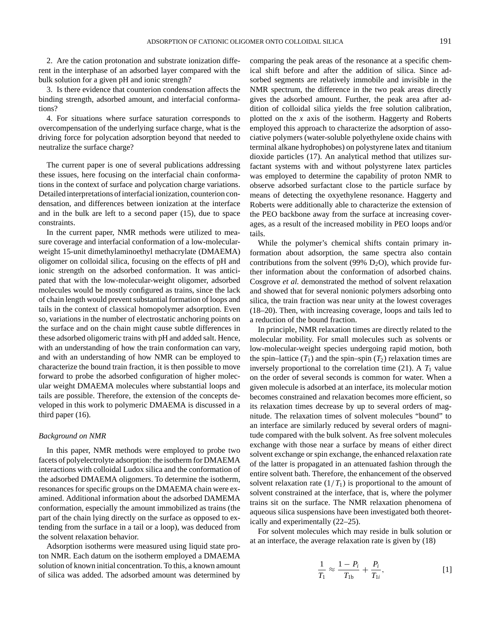2. Are the cation protonation and substrate ionization different in the interphase of an adsorbed layer compared with the bulk solution for a given pH and ionic strength?

3. Is there evidence that counterion condensation affects the binding strength, adsorbed amount, and interfacial conformations?

4. For situations where surface saturation corresponds to overcompensation of the underlying surface charge, what is the driving force for polycation adsorption beyond that needed to neutralize the surface charge?

The current paper is one of several publications addressing these issues, here focusing on the interfacial chain conformations in the context of surface and polycation charge variations. Detailed interpretations of interfacial ionization, counterion condensation, and differences between ionization at the interface and in the bulk are left to a second paper (15), due to space constraints.

In the current paper, NMR methods were utilized to measure coverage and interfacial conformation of a low-molecularweight 15-unit dimethylaminoethyl methacrylate (DMAEMA) oligomer on colloidal silica, focusing on the effects of pH and ionic strength on the adsorbed conformation. It was anticipated that with the low-molecular-weight oligomer, adsorbed molecules would be mostly configured as trains, since the lack of chain length would prevent substantial formation of loops and tails in the context of classical homopolymer adsorption. Even so, variations in the number of electrostatic anchoring points on the surface and on the chain might cause subtle differences in these adsorbed oligomeric trains with pH and added salt. Hence, with an understanding of how the train conformation can vary, and with an understanding of how NMR can be employed to characterize the bound train fraction, it is then possible to move forward to probe the adsorbed configuration of higher molecular weight DMAEMA molecules where substantial loops and tails are possible. Therefore, the extension of the concepts developed in this work to polymeric DMAEMA is discussed in a third paper (16).

#### *Background on NMR*

In this paper, NMR methods were employed to probe two facets of polyelectrolyte adsorption: the isotherm for DMAEMA interactions with colloidal Ludox silica and the conformation of the adsorbed DMAEMA oligomers. To determine the isotherm, resonances for specific groups on the DMAEMA chain were examined. Additional information about the adsorbed DAMEMA conformation, especially the amount immobilized as trains (the part of the chain lying directly on the surface as opposed to extending from the surface in a tail or a loop), was deduced from the solvent relaxation behavior.

Adsorption isotherms were measured using liquid state proton NMR. Each datum on the isotherm employed a DMAEMA solution of known initial concentration. To this, a known amount of silica was added. The adsorbed amount was determined by comparing the peak areas of the resonance at a specific chemical shift before and after the addition of silica. Since adsorbed segments are relatively immobile and invisible in the NMR spectrum, the difference in the two peak areas directly gives the adsorbed amount. Further, the peak area after addition of colloidal silica yields the free solution calibration, plotted on the *x* axis of the isotherm. Haggerty and Roberts employed this approach to characterize the adsorption of associative polymers (water-soluble polyethylene oxide chains with terminal alkane hydrophobes) on polystyrene latex and titanium dioxide particles (17). An analytical method that utilizes surfactant systems with and without polystyrene latex particles was employed to determine the capability of proton NMR to observe adsorbed surfactant close to the particle surface by means of detecting the oxyethylene resonance. Haggerty and Roberts were additionally able to characterize the extension of the PEO backbone away from the surface at increasing coverages, as a result of the increased mobility in PEO loops and/or tails.

While the polymer's chemical shifts contain primary information about adsorption, the same spectra also contain contributions from the solvent (99%  $D_2O$ ), which provide further information about the conformation of adsorbed chains. Cosgrove *et al.* demonstrated the method of solvent relaxation and showed that for several nonionic polymers adsorbing onto silica, the train fraction was near unity at the lowest coverages (18–20). Then, with increasing coverage, loops and tails led to a reduction of the bound fraction.

In principle, NMR relaxation times are directly related to the molecular mobility. For small molecules such as solvents or low-molecular-weight species undergoing rapid motion, both the spin–lattice  $(T_1)$  and the spin–spin  $(T_2)$  relaxation times are inversely proportional to the correlation time  $(21)$ . A  $T_1$  value on the order of several seconds is common for water. When a given molecule is adsorbed at an interface, its molecular motion becomes constrained and relaxation becomes more efficient, so its relaxation times decrease by up to several orders of magnitude. The relaxation times of solvent molecules "bound" to an interface are similarly reduced by several orders of magnitude compared with the bulk solvent. As free solvent molecules exchange with those near a surface by means of either direct solvent exchange or spin exchange, the enhanced relaxation rate of the latter is propagated in an attenuated fashion through the entire solvent bath. Therefore, the enhancement of the observed solvent relaxation rate  $(1/T_1)$  is proportional to the amount of solvent constrained at the interface, that is, where the polymer trains sit on the surface. The NMR relaxation phenomena of aqueous silica suspensions have been investigated both theoretically and experimentally (22–25).

For solvent molecules which may reside in bulk solution or at an interface, the average relaxation rate is given by (18)

$$
\frac{1}{T_1} \approx \frac{1 - P_i}{T_{1b}} + \frac{P_i}{T_{1i}},
$$
\n[1]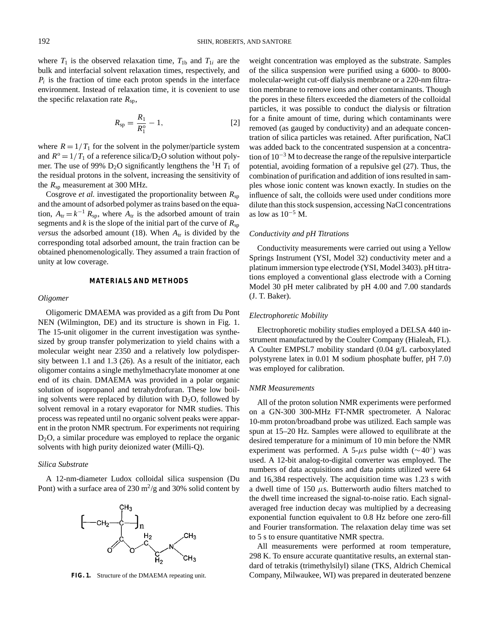$$
R_{\rm sp} = \frac{R_1}{R_1^{\rm o}} - 1,\tag{2}
$$

where  $R = 1/T_1$  for the solvent in the polymer/particle system and  $R^{\circ} = 1/T_1$  of a reference silica/D<sub>2</sub>O solution without polymer. The use of 99%  $D_2O$  significantly lengthens the <sup>1</sup>H  $T_1$  of the residual protons in the solvent, increasing the sensitivity of the  $R_{\rm SD}$  measurement at 300 MHz.

Cosgrove *et al.* investigated the proportionality between *R*sp and the amount of adsorbed polymer as trains based on the equation,  $A_{tr} = k^{-1} R_{sp}$ , where  $A_{tr}$  is the adsorbed amount of train segments and  $k$  is the slope of the initial part of the curve of  $R_{\rm SD}$ *versus* the adsorbed amount (18). When  $A_{tr}$  is divided by the corresponding total adsorbed amount, the train fraction can be obtained phenomenologically. They assumed a train fraction of unity at low coverage.

# **MATERIALS AND METHODS**

#### *Oligomer*

Oligomeric DMAEMA was provided as a gift from Du Pont NEN (Wilmington, DE) and its structure is shown in Fig. 1. The 15-unit oligomer in the current investigation was synthesized by group transfer polymerization to yield chains with a molecular weight near 2350 and a relatively low polydispersity between 1.1 and 1.3 (26). As a result of the initiator, each oligomer contains a single methylmethacrylate monomer at one end of its chain. DMAEMA was provided in a polar organic solution of isopropanol and tetrahydrofuran. These low boiling solvents were replaced by dilution with  $D_2O$ , followed by solvent removal in a rotary evaporator for NMR studies. This process was repeated until no organic solvent peaks were apparent in the proton NMR spectrum. For experiments not requiring  $D<sub>2</sub>O$ , a similar procedure was employed to replace the organic solvents with high purity deionized water (Milli-Q).

# *Silica Substrate*

A 12-nm-diameter Ludox colloidal silica suspension (Du Pont) with a surface area of 230  $\text{m}^2/\text{g}$  and 30% solid content by



**FIG. 1.** Structure of the DMAEMA repeating unit.

weight concentration was employed as the substrate. Samples of the silica suspension were purified using a 6000- to 8000 molecular-weight cut-off dialysis membrane or a 220-nm filtration membrane to remove ions and other contaminants. Though the pores in these filters exceeded the diameters of the colloidal particles, it was possible to conduct the dialysis or filtration for a finite amount of time, during which contaminants were removed (as gauged by conductivity) and an adequate concentration of silica particles was retained. After purification, NaCl was added back to the concentrated suspension at a concentration of  $10^{-3}$  M to decrease the range of the repulsive interparticle potential, avoiding formation of a repulsive gel (27). Thus, the combination of purification and addition of ions resulted in samples whose ionic content was known exactly. In studies on the influence of salt, the colloids were used under conditions more dilute than this stock suspension, accessing NaCl concentrations as low as  $10^{-5}$  M.

#### *Conductivity and pH Titrations*

Conductivity measurements were carried out using a Yellow Springs Instrument (YSI, Model 32) conductivity meter and a platinum immersion type electrode (YSI, Model 3403). pH titrations employed a conventional glass electrode with a Corning Model 30 pH meter calibrated by pH 4.00 and 7.00 standards (J. T. Baker).

#### *Electrophoretic Mobility*

Electrophoretic mobility studies employed a DELSA 440 instrument manufactured by the Coulter Company (Hialeah, FL). A Coulter EMPSL7 mobility standard (0.04 g/L carboxylated polystyrene latex in 0.01 M sodium phosphate buffer, pH 7.0) was employed for calibration.

#### *NMR Measurements*

All of the proton solution NMR experiments were performed on a GN-300 300-MHz FT-NMR spectrometer. A Nalorac 10-mm proton/broadband probe was utilized. Each sample was spun at 15–20 Hz. Samples were allowed to equilibrate at the desired temperature for a minimum of 10 min before the NMR experiment was performed. A 5- $\mu$ s pulse width (~40°) was used. A 12-bit analog-to-digital converter was employed. The numbers of data acquisitions and data points utilized were 64 and 16,384 respectively. The acquisition time was 1.23 s with a dwell time of 150  $\mu$ s. Butterworth audio filters matched to the dwell time increased the signal-to-noise ratio. Each signalaveraged free induction decay was multiplied by a decreasing exponential function equivalent to 0.8 Hz before one zero-fill and Fourier transformation. The relaxation delay time was set to 5 s to ensure quantitative NMR spectra.

All measurements were performed at room temperature, 298 K. To ensure accurate quantitative results, an external standard of tetrakis (trimethylsilyl) silane (TKS, Aldrich Chemical Company, Milwaukee, WI) was prepared in deuterated benzene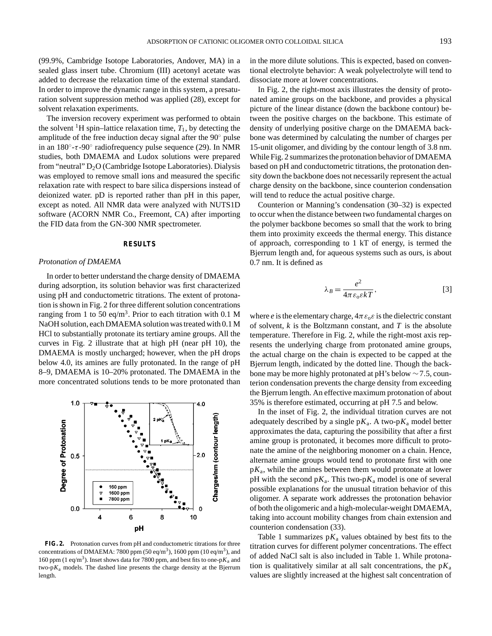(99.9%, Cambridge Isotope Laboratories, Andover, MA) in a sealed glass insert tube. Chromium (III) acetonyl acetate was added to decrease the relaxation time of the external standard. In order to improve the dynamic range in this system, a presaturation solvent suppression method was applied (28), except for solvent relaxation experiments.

The inversion recovery experiment was performed to obtain the solvent <sup>1</sup>H spin–lattice relaxation time,  $T_1$ , by detecting the amplitude of the free induction decay signal after the 90◦ pulse in an  $180^\circ$ - $\tau$ -90 $^\circ$  radiofrequency pulse sequence (29). In NMR studies, both DMAEMA and Ludox solutions were prepared from "neutral"  $D_2O$  (Cambridge Isotope Laboratories). Dialysis was employed to remove small ions and measured the specific relaxation rate with respect to bare silica dispersions instead of deionized water. pD is reported rather than pH in this paper, except as noted. All NMR data were analyzed with NUTS1D software (ACORN NMR Co., Freemont, CA) after importing the FID data from the GN-300 NMR spectrometer.

# **RESULTS**

#### *Protonation of DMAEMA*

In order to better understand the charge density of DMAEMA during adsorption, its solution behavior was first characterized using pH and conductometric titrations. The extent of protonation is shown in Fig. 2 for three different solution concentrations ranging from 1 to 50 eq/m<sup>3</sup>. Prior to each titration with 0.1 M NaOH solution, each DMAEMA solution was treated with 0.1 M HCl to substantially protonate its tertiary amine groups. All the curves in Fig. 2 illustrate that at high pH (near pH 10), the DMAEMA is mostly uncharged; however, when the pH drops below 4.0, its amines are fully protonated. In the range of pH 8–9, DMAEMA is 10–20% protonated. The DMAEMA in the more concentrated solutions tends to be more protonated than



**FIG. 2.** Protonation curves from pH and conductometric titrations for three concentrations of DMAEMA: 7800 ppm (50 eq/m<sup>3</sup>), 1600 ppm (10 eq/m<sup>3</sup>), and 160 ppm (1 eq/m<sup>3</sup>). Inset shows data for 7800 ppm, and best fits to one-p $K_a$  and two- $pK_a$  models. The dashed line presents the charge density at the Bjerrum length.

in the more dilute solutions. This is expected, based on conventional electrolyte behavior: A weak polyelectrolyte will tend to dissociate more at lower concentrations.

In Fig. 2, the right-most axis illustrates the density of protonated amine groups on the backbone, and provides a physical picture of the linear distance (down the backbone contour) between the positive charges on the backbone. This estimate of density of underlying positive charge on the DMAEMA backbone was determined by calculating the number of charges per 15-unit oligomer, and dividing by the contour length of 3.8 nm. While Fig. 2 summarizes the protonation behavior of DMAEMA based on pH and conductometric titrations, the protonation density down the backbone does not necessarily represent the actual charge density on the backbone, since counterion condensation will tend to reduce the actual positive charge.

Counterion or Manning's condensation (30–32) is expected to occur when the distance between two fundamental charges on the polymer backbone becomes so small that the work to bring them into proximity exceeds the thermal energy. This distance of approach, corresponding to 1 kT of energy, is termed the Bjerrum length and, for aqueous systems such as ours, is about 0.7 nm. It is defined as

$$
\lambda_B = \frac{e^2}{4\pi\varepsilon_0 \varepsilon kT},\tag{3}
$$

where *e* is the elementary charge,  $4\pi \varepsilon_0 \varepsilon$  is the dielectric constant of solvent, *k* is the Boltzmann constant, and *T* is the absolute temperature. Therefore in Fig. 2, while the right-most axis represents the underlying charge from protonated amine groups, the actual charge on the chain is expected to be capped at the Bjerrum length, indicated by the dotted line. Though the backbone may be more highly protonated at pH's below ∼7.5, counterion condensation prevents the charge density from exceeding the Bjerrum length. An effective maximum protonation of about 35% is therefore estimated, occurring at pH 7.5 and below.

In the inset of Fig. 2, the individual titration curves are not adequately described by a single  $pK_a$ . A two- $pK_a$  model better approximates the data, capturing the possibility that after a first amine group is protonated, it becomes more difficult to protonate the amine of the neighboring monomer on a chain. Hence, alternate amine groups would tend to protonate first with one p*K*a, while the amines between them would protonate at lower pH with the second  $pK_a$ . This two-p $K_a$  model is one of several possible explanations for the unusual titration behavior of this oligomer. A separate work addresses the protonation behavior of both the oligomeric and a high-molecular-weight DMAEMA, taking into account mobility changes from chain extension and counterion condensation (33).

Table 1 summarizes  $pK_a$  values obtained by best fits to the titration curves for different polymer concentrations. The effect of added NaCl salt is also included in Table 1. While protonation is qualitatively similar at all salt concentrations, the  $pK_a$ values are slightly increased at the highest salt concentration of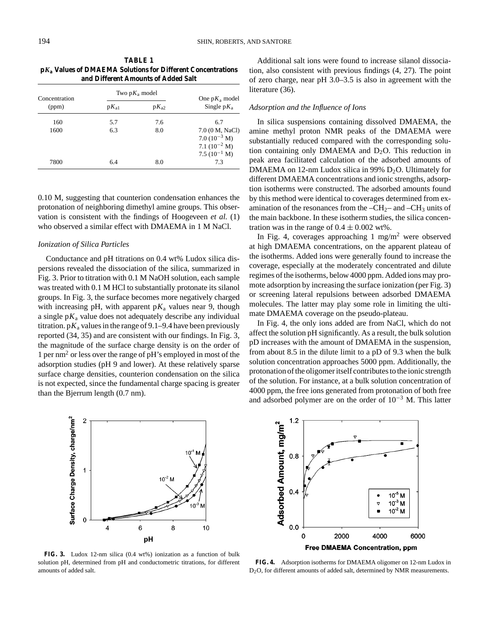**TABLE 1 p***K***<sup>a</sup> Values of DMAEMA Solutions for Different Concentrations and Different Amounts of Added Salt**

| Concentration<br>(ppm) | Two $pK_a$ model |           | One $pK_a$ model                                                                     |
|------------------------|------------------|-----------|--------------------------------------------------------------------------------------|
|                        | $pK_{a1}$        | $pK_{a2}$ | Single $pK_a$                                                                        |
| 160                    | 5.7              | 7.6       | 6.7                                                                                  |
| 1600                   | 6.3              | 8.0       | 7.0 (0 M, NaCl)<br>$7.0~(10^{-3}~{\rm M})$<br>7.1 $(10^{-2} M)$<br>7.5 $(10^{-1}$ M) |
| 7800                   | 6.4              | 8.0       | 7.3                                                                                  |

0.10 M, suggesting that counterion condensation enhances the protonation of neighboring dimethyl amine groups. This observation is consistent with the findings of Hoogeveen *et al.* (1) who observed a similar effect with DMAEMA in 1 M NaCl.

# *Ionization of Silica Particles*

 $\overline{2}$ 

Conductance and pH titrations on 0.4 wt% Ludox silica dispersions revealed the dissociation of the silica, summarized in Fig. 3. Prior to titration with 0.1 M NaOH solution, each sample was treated with 0.1 M HCl to substantially protonate its silanol groups. In Fig. 3, the surface becomes more negatively charged with increasing pH, with apparent  $pK_a$  values near 9, though a single  $pK_a$  value does not adequately describe any individual titration.  $pK_a$  values in the range of 9.1–9.4 have been previously reported (34, 35) and are consistent with our findings. In Fig. 3, the magnitude of the surface charge density is on the order of 1 per nm<sup>2</sup> or less over the range of pH's employed in most of the adsorption studies (pH 9 and lower). At these relatively sparse surface charge densities, counterion condensation on the silica is not expected, since the fundamental charge spacing is greater than the Bjerrum length (0.7 nm).

Additional salt ions were found to increase silanol dissociation, also consistent with previous findings (4, 27). The point of zero charge, near pH 3.0–3.5 is also in agreement with the literature (36).

# *Adsorption and the Influence of Ions*

In silica suspensions containing dissolved DMAEMA, the amine methyl proton NMR peaks of the DMAEMA were substantially reduced compared with the corresponding solution containing only DMAEMA and  $D_2O$ . This reduction in peak area facilitated calculation of the adsorbed amounts of DMAEMA on 12-nm Ludox silica in 99%  $D_2O$ . Ultimately for different DMAEMA concentrations and ionic strengths, adsorption isotherms were constructed. The adsorbed amounts found by this method were identical to coverages determined from examination of the resonances from the  $-CH_2$ – and  $-CH_3$  units of the main backbone. In these isotherm studies, the silica concentration was in the range of  $0.4 \pm 0.002$  wt%.

In Fig. 4, coverages approaching 1 mg/m<sup>2</sup> were observed at high DMAEMA concentrations, on the apparent plateau of the isotherms. Added ions were generally found to increase the coverage, especially at the moderately concentrated and dilute regimes of the isotherms, below 4000 ppm. Added ions may promote adsorption by increasing the surface ionization (per Fig. 3) or screening lateral repulsions between adsorbed DMAEMA molecules. The latter may play some role in limiting the ultimate DMAEMA coverage on the pseudo-plateau.

In Fig. 4, the only ions added are from NaCl, which do not affect the solution pH significantly. As a result, the bulk solution pD increases with the amount of DMAEMA in the suspension, from about 8.5 in the dilute limit to a pD of 9.3 when the bulk solution concentration approaches 5000 ppm. Additionally, the protonation of the oligomer itself contributes to the ionic strength of the solution. For instance, at a bulk solution concentration of 4000 ppm, the free ions generated from protonation of both free and adsorbed polymer are on the order of  $10^{-3}$  M. This latter



**FIG. 3.** Ludox 12-nm silica (0.4 wt%) ionization as a function of bulk solution pH, determined from pH and conductometric titrations, for different amounts of added salt.



**FIG. 4.** Adsorption isotherms for DMAEMA oligomer on 12-nm Ludox in D2O, for different amounts of added salt, determined by NMR measurements.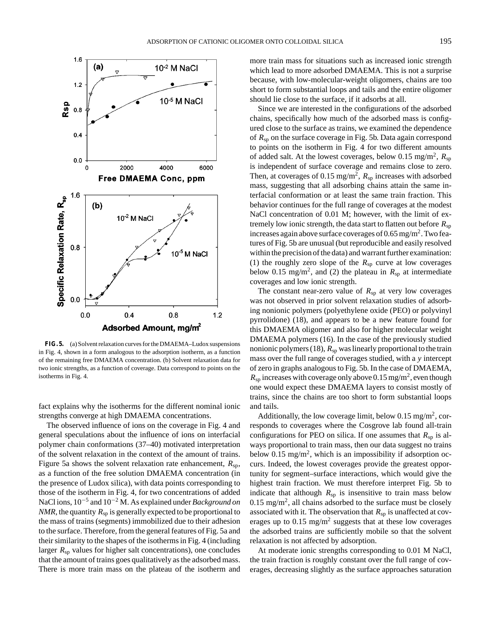

**FIG. 5.** (a) Solvent relaxation curves for the DMAEMA–Ludox suspensions in Fig. 4, shown in a form analogous to the adsorption isotherm, as a function of the remaining free DMAEMA concentration. (b) Solvent relaxation data for two ionic strengths, as a function of coverage. Data correspond to points on the isotherms in Fig. 4.

fact explains why the isotherms for the different nominal ionic strengths converge at high DMAEMA concentrations.

The observed influence of ions on the coverage in Fig. 4 and general speculations about the influence of ions on interfacial polymer chain conformations (37–40) motivated interpretation of the solvent relaxation in the context of the amount of trains. Figure 5a shows the solvent relaxation rate enhancement,  $R_{\rm sp}$ , as a function of the free solution DMAEMA concentration (in the presence of Ludox silica), with data points corresponding to those of the isotherm in Fig. 4, for two concentrations of added NaCl ions, 10−<sup>5</sup> and 10−<sup>2</sup> M. As explained under *Background on NMR*, the quantity  $R_{\rm sn}$  is generally expected to be proportional to the mass of trains (segments) immobilized due to their adhesion to the surface. Therefore, from the general features of Fig. 5a and their similarity to the shapes of the isotherms in Fig. 4 (including larger  $R_{\rm SD}$  values for higher salt concentrations), one concludes that the amount of trains goes qualitatively as the adsorbed mass. There is more train mass on the plateau of the isotherm and

more train mass for situations such as increased ionic strength which lead to more adsorbed DMAEMA. This is not a surprise because, with low-molecular-weight oligomers, chains are too short to form substantial loops and tails and the entire oligomer should lie close to the surface, if it adsorbs at all.

Since we are interested in the configurations of the adsorbed chains, specifically how much of the adsorbed mass is configured close to the surface as trains, we examined the dependence of *R*sp on the surface coverage in Fig. 5b. Data again correspond to points on the isotherm in Fig. 4 for two different amounts of added salt. At the lowest coverages, below 0.15 mg/m<sup>2</sup>,  $R_{\rm sn}$ is independent of surface coverage and remains close to zero. Then, at coverages of 0.15 mg/m<sup>2</sup>,  $R_{\rm sp}$  increases with adsorbed mass, suggesting that all adsorbing chains attain the same interfacial conformation or at least the same train fraction. This behavior continues for the full range of coverages at the modest NaCl concentration of 0.01 M; however, with the limit of extremely low ionic strength, the data start to flatten out before  $R_{\rm{sp}}$ increases again above surface coverages of  $0.65 \,\mathrm{mg/m^2}$ . Two features of Fig. 5b are unusual (but reproducible and easily resolved within the precision of the data) and warrant further examination: (1) the roughly zero slope of the  $R_{\rm sp}$  curve at low coverages below 0.15 mg/m<sup>2</sup>, and (2) the plateau in  $R_{sp}$  at intermediate coverages and low ionic strength.

The constant near-zero value of  $R_{sp}$  at very low coverages was not observed in prior solvent relaxation studies of adsorbing nonionic polymers (polyethylene oxide (PEO) or polyvinyl pyrrolidone) (18), and appears to be a new feature found for this DMAEMA oligomer and also for higher molecular weight DMAEMA polymers (16). In the case of the previously studied nonionic polymers (18),  $R_{sp}$  was linearly proportional to the train mass over the full range of coverages studied, with a *y* intercept of zero in graphs analogous to Fig. 5b. In the case of DMAEMA,  $R_{\rm SD}$  increases with coverage only above 0.15 mg/m<sup>2</sup>, even though one would expect these DMAEMA layers to consist mostly of trains, since the chains are too short to form substantial loops and tails.

Additionally, the low coverage limit, below  $0.15 \text{ mg/m}^2$ , corresponds to coverages where the Cosgrove lab found all-train configurations for PEO on silica. If one assumes that  $R_{\rm sn}$  is always proportional to train mass, then our data suggest no trains below 0.15 mg/m<sup>2</sup>, which is an impossibility if adsorption occurs. Indeed, the lowest coverages provide the greatest opportunity for segment–surface interactions, which would give the highest train fraction. We must therefore interpret Fig. 5b to indicate that although  $R_{sp}$  is insensitive to train mass below  $0.15 \text{ mg/m}^2$ , all chains adsorbed to the surface must be closely associated with it. The observation that  $R_{\rm sn}$  is unaffected at coverages up to  $0.15 \text{ mg/m}^2$  suggests that at these low coverages the adsorbed trains are sufficiently mobile so that the solvent relaxation is not affected by adsorption.

At moderate ionic strengths corresponding to 0.01 M NaCl, the train fraction is roughly constant over the full range of coverages, decreasing slightly as the surface approaches saturation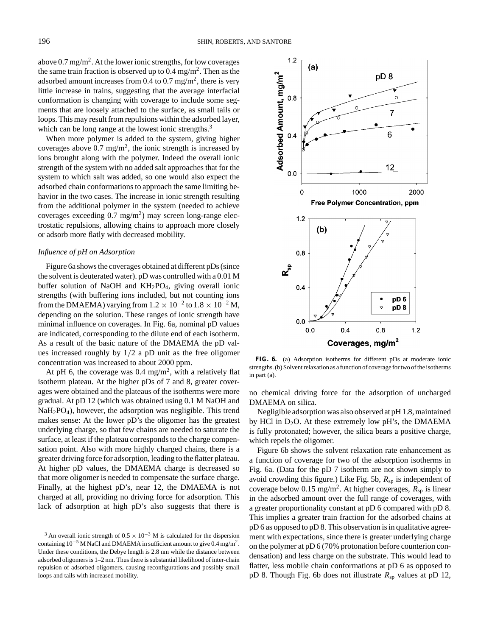above  $0.7 \,\mathrm{mg/m^2}$ . At the lower ionic strengths, for low coverages the same train fraction is observed up to  $0.4 \text{ mg/m}^2$ . Then as the adsorbed amount increases from 0.4 to 0.7 mg/m<sup>2</sup>, there is very little increase in trains, suggesting that the average interfacial conformation is changing with coverage to include some segments that are loosely attached to the surface, as small tails or loops. This may result from repulsions within the adsorbed layer, which can be long range at the lowest ionic strengths.<sup>3</sup>

When more polymer is added to the system, giving higher coverages above  $0.7 \text{ mg/m}^2$ , the ionic strength is increased by ions brought along with the polymer. Indeed the overall ionic strength of the system with no added salt approaches that for the system to which salt was added, so one would also expect the adsorbed chain conformations to approach the same limiting behavior in the two cases. The increase in ionic strength resulting from the additional polymer in the system (needed to achieve coverages exceeding  $0.7 \text{ mg/m}^2$ ) may screen long-range electrostatic repulsions, allowing chains to approach more closely or adsorb more flatly with decreased mobility.

### *Influence of pH on Adsorption*

Figure 6a shows the coverages obtained at different pDs (since the solvent is deuterated water). pD was controlled with a 0.01 M buffer solution of NaOH and KH<sub>2</sub>PO<sub>4</sub>, giving overall ionic strengths (with buffering ions included, but not counting ions from the DMAEMA) varying from  $1.2 \times 10^{-2}$  to  $1.8 \times 10^{-2}$  M, depending on the solution. These ranges of ionic strength have minimal influence on coverages. In Fig. 6a, nominal pD values are indicated, corresponding to the dilute end of each isotherm. As a result of the basic nature of the DMAEMA the pD values increased roughly by 1/2 a pD unit as the free oligomer concentration was increased to about 2000 ppm.

At pH 6, the coverage was  $0.4 \text{ mg/m}^2$ , with a relatively flat isotherm plateau. At the higher pDs of 7 and 8, greater coverages were obtained and the plateaus of the isotherms were more gradual. At pD 12 (which was obtained using 0.1 M NaOH and NaH2PO4), however, the adsorption was negligible. This trend makes sense: At the lower pD's the oligomer has the greatest underlying charge, so that few chains are needed to saturate the surface, at least if the plateau corresponds to the charge compensation point. Also with more highly charged chains, there is a greater driving force for adsorption, leading to the flatter plateau. At higher pD values, the DMAEMA charge is decreased so that more oligomer is needed to compensate the surface charge. Finally, at the highest pD's, near 12, the DMAEMA is not charged at all, providing no driving force for adsorption. This lack of adsorption at high pD's also suggests that there is



**FIG. 6.** (a) Adsorption isotherms for different pDs at moderate ionic strengths. (b) Solvent relaxation as a function of coverage for two of the isotherms in part (a).

no chemical driving force for the adsorption of uncharged DMAEMA on silica.

Negligible adsorption was also observed at pH 1.8, maintained by HCl in  $D_2O$ . At these extremely low pH's, the DMAEMA is fully protonated; however, the silica bears a positive charge, which repels the oligomer.

Figure 6b shows the solvent relaxation rate enhancement as a function of coverage for two of the adsorption isotherms in Fig. 6a. (Data for the pD 7 isotherm are not shown simply to avoid crowding this figure.) Like Fig. 5b,  $R_{\rm sn}$  is independent of coverage below 0.15 mg/m<sup>2</sup>. At higher coverages,  $R_{sp}$  is linear in the adsorbed amount over the full range of coverages, with a greater proportionality constant at pD 6 compared with pD 8. This implies a greater train fraction for the adsorbed chains at pD 6 as opposed to pD 8. This observation is in qualitative agreement with expectations, since there is greater underlying charge on the polymer at pD 6 (70% protonation before counterion condensation) and less charge on the substrate. This would lead to flatter, less mobile chain conformations at pD 6 as opposed to pD 8. Though Fig. 6b does not illustrate *R*sp values at pD 12,

<sup>&</sup>lt;sup>3</sup> An overall ionic strength of  $0.5 \times 10^{-3}$  M is calculated for the dispersion containing  $10^{-5}$  M NaCl and DMAEMA in sufficient amount to give 0.4 mg/m<sup>2</sup>. Under these conditions, the Debye length is 2.8 nm while the distance between adsorbed oligomers is 1–2 nm. Thus there is substantial likelihood of inter-chain repulsion of adsorbed oligomers, causing reconfigurations and possibly small loops and tails with increased mobility.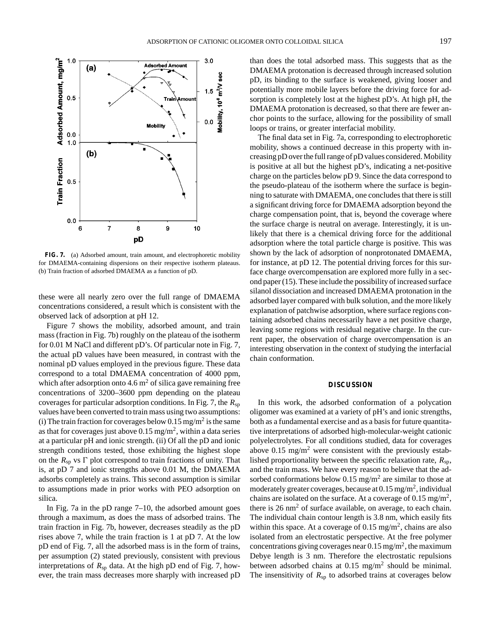

**FIG. 7.** (a) Adsorbed amount, train amount, and electrophoretic mobility for DMAEMA-containing dispersions on their respective isotherm plateaus. (b) Train fraction of adsorbed DMAEMA as a function of pD.

these were all nearly zero over the full range of DMAEMA concentrations considered, a result which is consistent with the observed lack of adsorption at pH 12.

Figure 7 shows the mobility, adsorbed amount, and train mass (fraction in Fig. 7b) roughly on the plateau of the isotherm for 0.01 M NaCl and different pD's. Of particular note in Fig. 7, the actual pD values have been measured, in contrast with the nominal pD values employed in the previous figure. These data correspond to a total DMAEMA concentration of 4000 ppm, which after adsorption onto  $4.6 \,\mathrm{m}^2$  of silica gave remaining free concentrations of 3200–3600 ppm depending on the plateau coverages for particular adsorption conditions. In Fig. 7, the  $R_{\rm sn}$ values have been converted to train mass using two assumptions: (i) The train fraction for coverages below 0.15 mg/m<sup>2</sup> is the same as that for coverages just above  $0.15 \text{ mg/m}^2$ , within a data series at a particular pH and ionic strength. (ii) Of all the pD and ionic strength conditions tested, those exhibiting the highest slope on the  $R_{\rm SD}$  vs  $\Gamma$  plot correspond to train fractions of unity. That is, at pD 7 and ionic strengths above 0.01 M, the DMAEMA adsorbs completely as trains. This second assumption is similar to assumptions made in prior works with PEO adsorption on silica.

In Fig. 7a in the pD range 7–10, the adsorbed amount goes through a maximum, as does the mass of adsorbed trains. The train fraction in Fig. 7b, however, decreases steadily as the pD rises above 7, while the train fraction is 1 at pD 7. At the low pD end of Fig. 7, all the adsorbed mass is in the form of trains, per assumption (2) stated previously, consistent with previous interpretations of  $R_{\rm sn}$  data. At the high pD end of Fig. 7, however, the train mass decreases more sharply with increased pD

than does the total adsorbed mass. This suggests that as the DMAEMA protonation is decreased through increased solution pD, its binding to the surface is weakened, giving looser and potentially more mobile layers before the driving force for adsorption is completely lost at the highest pD's. At high pH, the DMAEMA protonation is decreased, so that there are fewer anchor points to the surface, allowing for the possibility of small loops or trains, or greater interfacial mobility.

The final data set in Fig. 7a, corresponding to electrophoretic mobility, shows a continued decrease in this property with increasing pD over the full range of pD values considered. Mobility is positive at all but the highest pD's, indicating a net-positive charge on the particles below pD 9. Since the data correspond to the pseudo-plateau of the isotherm where the surface is beginning to saturate with DMAEMA, one concludes that there is still a significant driving force for DMAEMA adsorption beyond the charge compensation point, that is, beyond the coverage where the surface charge is neutral on average. Interestingly, it is unlikely that there is a chemical driving force for the additional adsorption where the total particle charge is positive. This was shown by the lack of adsorption of nonprotonated DMAEMA, for instance, at pD 12. The potential driving forces for this surface charge overcompensation are explored more fully in a second paper (15). These include the possibility of increased surface silanol dissociation and increased DMAEMA protonation in the adsorbed layer compared with bulk solution, and the more likely explanation of patchwise adsorption, where surface regions containing adsorbed chains necessarily have a net positive charge, leaving some regions with residual negative charge. In the current paper, the observation of charge overcompensation is an interesting observation in the context of studying the interfacial chain conformation.

# **DISCUSSION**

In this work, the adsorbed conformation of a polycation oligomer was examined at a variety of pH's and ionic strengths, both as a fundamental exercise and as a basis for future quantitative interpretations of adsorbed high-molecular-weight cationic polyelectrolytes. For all conditions studied, data for coverages above  $0.15 \text{ mg/m}^2$  were consistent with the previously established proportionality between the specific relaxation rate,  $R_{\rm SD}$ , and the train mass. We have every reason to believe that the adsorbed conformations below 0.15 mg/m<sup>2</sup> are similar to those at moderately greater coverages, because at  $0.15$  mg/m<sup>2</sup>, individual chains are isolated on the surface. At a coverage of  $0.15 \text{ mg/m}^2$ , there is  $26 \text{ nm}^2$  of surface available, on average, to each chain. The individual chain contour length is 3.8 nm, which easily fits within this space. At a coverage of  $0.15 \text{ mg/m}^2$ , chains are also isolated from an electrostatic perspective. At the free polymer concentrations giving coverages near  $0.15$  mg/m<sup>2</sup>, the maximum Debye length is 3 nm. Therefore the electrostatic repulsions between adsorbed chains at  $0.15 \text{ mg/m}^2$  should be minimal. The insensitivity of  $R_{\rm sp}$  to adsorbed trains at coverages below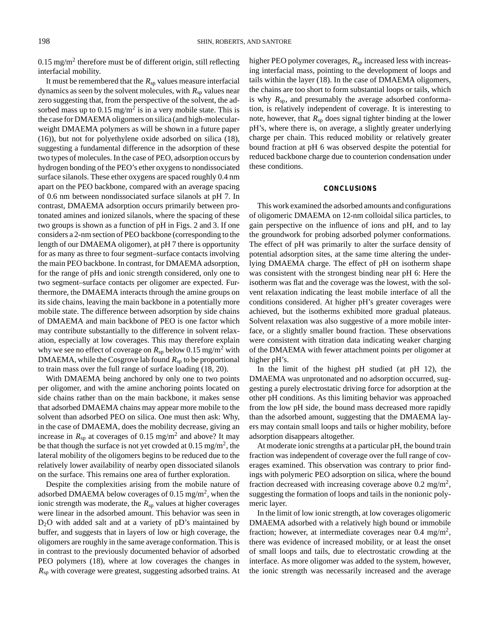$0.15 \text{ mg/m}^2$  therefore must be of different origin, still reflecting interfacial mobility.

It must be remembered that the  $R_{sp}$  values measure interfacial dynamics as seen by the solvent molecules, with  $R_{sp}$  values near zero suggesting that, from the perspective of the solvent, the adsorbed mass up to  $0.15$  mg/m<sup>2</sup> is in a very mobile state. This is the case for DMAEMA oligomers on silica (and high-molecularweight DMAEMA polymers as will be shown in a future paper (16)), but not for polyethylene oxide adsorbed on silica (18), suggesting a fundamental difference in the adsorption of these two types of molecules. In the case of PEO, adsorption occurs by hydrogen bonding of the PEO's ether oxygens to nondissociated surface silanols. These ether oxygens are spaced roughly 0.4 nm apart on the PEO backbone, compared with an average spacing of 0.6 nm between nondissociated surface silanols at pH 7. In contrast, DMAEMA adsorption occurs primarily between protonated amines and ionized silanols, where the spacing of these two groups is shown as a function of pH in Figs. 2 and 3. If one considers a 2-nm section of PEO backbone (corresponding to the length of our DMAEMA oligomer), at pH 7 there is opportunity for as many as three to four segment–surface contacts involving the main PEO backbone. In contrast, for DMAEMA adsorption, for the range of pHs and ionic strength considered, only one to two segment–surface contacts per oligomer are expected. Furthermore, the DMAEMA interacts through the amine groups on its side chains, leaving the main backbone in a potentially more mobile state. The difference between adsorption by side chains of DMAEMA and main backbone of PEO is one factor which may contribute substantially to the difference in solvent relaxation, especially at low coverages. This may therefore explain why we see no effect of coverage on  $R_{\rm SD}$  below 0.15 mg/m<sup>2</sup> with DMAEMA, while the Cosgrove lab found  $R_{\rm SD}$  to be proportional to train mass over the full range of surface loading (18, 20).

With DMAEMA being anchored by only one to two points per oligomer, and with the amine anchoring points located on side chains rather than on the main backbone, it makes sense that adsorbed DMAEMA chains may appear more mobile to the solvent than adsorbed PEO on silica. One must then ask: Why, in the case of DMAEMA, does the mobility decrease, giving an increase in  $R_{sp}$  at coverages of 0.15 mg/m<sup>2</sup> and above? It may be that though the surface is not yet crowded at  $0.15 \text{ mg/m}^2$ , the lateral mobility of the oligomers begins to be reduced due to the relatively lower availability of nearby open dissociated silanols on the surface. This remains one area of further exploration.

Despite the complexities arising from the mobile nature of adsorbed DMAEMA below coverages of 0.15 mg/m<sup>2</sup>, when the ionic strength was moderate, the  $R_{\rm SD}$  values at higher coverages were linear in the adsorbed amount. This behavior was seen in D2O with added salt and at a variety of pD's maintained by buffer, and suggests that in layers of low or high coverage, the oligomers are roughly in the same average conformation. This is in contrast to the previously documented behavior of adsorbed PEO polymers (18), where at low coverages the changes in *R*sp with coverage were greatest, suggesting adsorbed trains. At

higher PEO polymer coverages,  $R_{sp}$  increased less with increasing interfacial mass, pointing to the development of loops and tails within the layer (18). In the case of DMAEMA oligomers, the chains are too short to form substantial loops or tails, which is why  $R_{\rm SD}$ , and presumably the average adsorbed conformation, is relatively independent of coverage. It is interesting to note, however, that *R*sp does signal tighter binding at the lower pH's, where there is, on average, a slightly greater underlying charge per chain. This reduced mobility or relatively greater bound fraction at pH 6 was observed despite the potential for reduced backbone charge due to counterion condensation under these conditions.

#### **CONCLUSIONS**

This work examined the adsorbed amounts and configurations of oligomeric DMAEMA on 12-nm colloidal silica particles, to gain perspective on the influence of ions and pH, and to lay the groundwork for probing adsorbed polymer conformations. The effect of pH was primarily to alter the surface density of potential adsorption sites, at the same time altering the underlying DMAEMA charge. The effect of pH on isotherm shape was consistent with the strongest binding near pH 6: Here the isotherm was flat and the coverage was the lowest, with the solvent relaxation indicating the least mobile interface of all the conditions considered. At higher pH's greater coverages were achieved, but the isotherms exhibited more gradual plateaus. Solvent relaxation was also suggestive of a more mobile interface, or a slightly smaller bound fraction. These observations were consistent with titration data indicating weaker charging of the DMAEMA with fewer attachment points per oligomer at higher pH's.

In the limit of the highest pH studied (at pH 12), the DMAEMA was unprotonated and no adsorption occurred, suggesting a purely electrostatic driving force for adsorption at the other pH conditions. As this limiting behavior was approached from the low pH side, the bound mass decreased more rapidly than the adsorbed amount, suggesting that the DMAEMA layers may contain small loops and tails or higher mobility, before adsorption disappears altogether.

At moderate ionic strengths at a particular pH, the bound train fraction was independent of coverage over the full range of coverages examined. This observation was contrary to prior findings with polymeric PEO adsorption on silica, where the bound fraction decreased with increasing coverage above  $0.2 \text{ mg/m}^2$ , suggesting the formation of loops and tails in the nonionic polymeric layer.

In the limit of low ionic strength, at low coverages oligomeric DMAEMA adsorbed with a relatively high bound or immobile fraction; however, at intermediate coverages near  $0.4 \text{ mg/m}^2$ , there was evidence of increased mobility, or at least the onset of small loops and tails, due to electrostatic crowding at the interface. As more oligomer was added to the system, however, the ionic strength was necessarily increased and the average